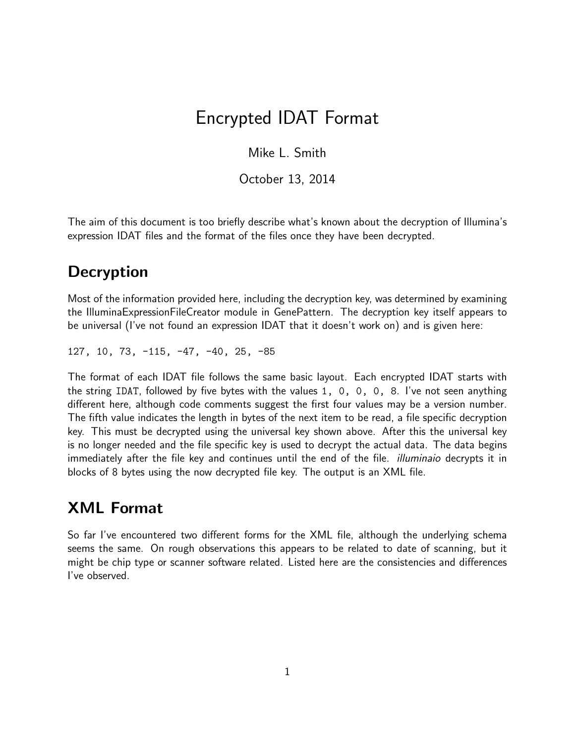# Encrypted IDAT Format

Mike L. Smith

October 13, 2014

The aim of this document is too briefly describe what's known about the decryption of Illumina's expression IDAT files and the format of the files once they have been decrypted.

### **Decryption**

Most of the information provided here, including the decryption key, was determined by examining the IlluminaExpressionFileCreator module in GenePattern. The decryption key itself appears to be universal (I've not found an expression IDAT that it doesn't work on) and is given here:

127, 10, 73, -115, -47, -40, 25, -85

The format of each IDAT file follows the same basic layout. Each encrypted IDAT starts with the string IDAT, followed by five bytes with the values 1, 0, 0, 0, 8. I've not seen anything different here, although code comments suggest the first four values may be a version number. The fifth value indicates the length in bytes of the next item to be read, a file specific decryption key. This must be decrypted using the universal key shown above. After this the universal key is no longer needed and the file specific key is used to decrypt the actual data. The data begins immediately after the file key and continues until the end of the file. *illuminaio* decrypts it in blocks of 8 bytes using the now decrypted file key. The output is an XML file.

## XML Format

So far I've encountered two different forms for the XML file, although the underlying schema seems the same. On rough observations this appears to be related to date of scanning, but it might be chip type or scanner software related. Listed here are the consistencies and differences I've observed.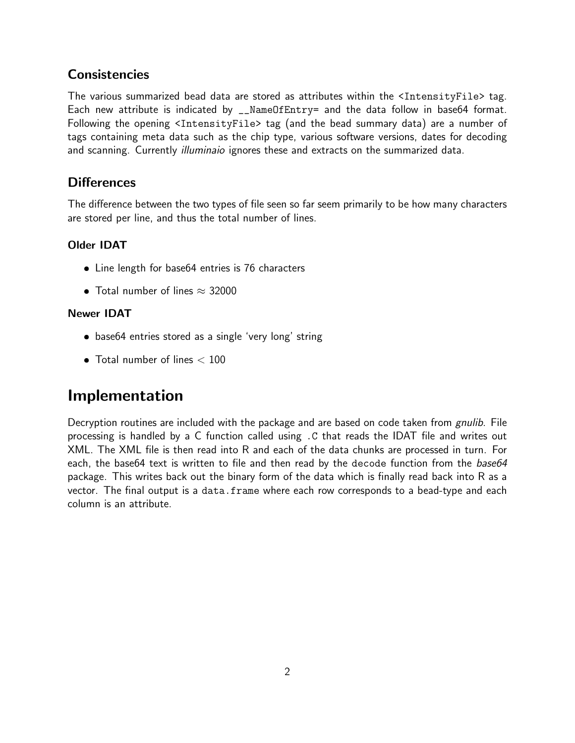### **Consistencies**

The various summarized bead data are stored as attributes within the <IntensityFile> tag. Each new attribute is indicated by \_\_NameOfEntry= and the data follow in base64 format. Following the opening <IntensityFile> tag (and the bead summary data) are a number of tags containing meta data such as the chip type, various software versions, dates for decoding and scanning. Currently illuminaio ignores these and extracts on the summarized data.

### **Differences**

The difference between the two types of file seen so far seem primarily to be how many characters are stored per line, and thus the total number of lines.

#### Older IDAT

- Line length for base64 entries is 76 characters
- Total number of lines  $\approx$  32000

#### Newer IDAT

- base64 entries stored as a single 'very long' string
- $\bullet$  Total number of lines  $< 100$

## Implementation

Decryption routines are included with the package and are based on code taken from gnulib. File processing is handled by a C function called using .C that reads the IDAT file and writes out XML. The XML file is then read into R and each of the data chunks are processed in turn. For each, the base64 text is written to file and then read by the decode function from the base64 package. This writes back out the binary form of the data which is finally read back into R as a vector. The final output is a data.frame where each row corresponds to a bead-type and each column is an attribute.